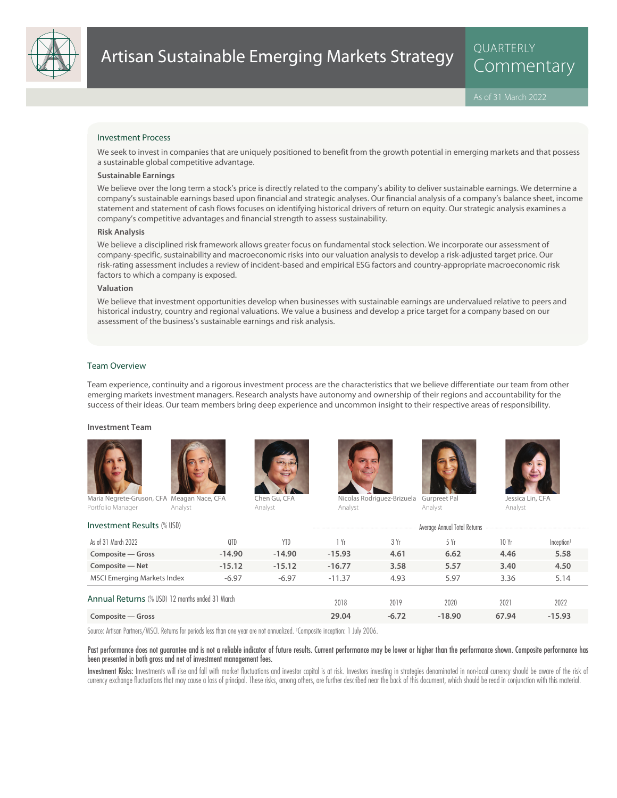

QUARTERLY

### Investment Process

We seek to invest in companies that are uniquely positioned to benefit from the growth potential in emerging markets and that possess a sustainable global competitive advantage.

### **Sustainable Earnings**

We believe over the long term a stock's price is directly related to the company's ability to deliver sustainable earnings. We determine a company's sustainable earnings based upon financial and strategic analyses. Our financial analysis of a company's balance sheet, income statement and statement of cash flows focuses on identifying historical drivers of return on equity. Our strategic analysis examines a company's competitive advantages and financial strength to assess sustainability.

### **Risk Analysis**

We believe a disciplined risk framework allows greater focus on fundamental stock selection. We incorporate our assessment of company-specific, sustainability and macroeconomic risks into our valuation analysis to develop a risk-adjusted target price. Our risk-rating assessment includes a review of incident-based and empirical ESG factors and country-appropriate macroeconomic risk factors to which a company is exposed.

# **Valuation**

We believe that investment opportunities develop when businesses with sustainable earnings are undervalued relative to peers and historical industry, country and regional valuations. We value a business and develop a price target for a company based on our assessment of the business's sustainable earnings and risk analysis.

### Team Overview

Team experience, continuity and a rigorous investment process are the characteristics that we believe differentiate our team from other emerging markets investment managers. Research analysts have autonomy and ownership of their regions and accountability for the success of their ideas. Our team members bring deep experience and uncommon insight to their respective areas of responsibility.

#### **Investment Team**







Analyst





Nicolas Rodriguez-Brizuela Gurpreet Pal Analyst



Jessica Lin, CFA Analyst

| <b>Investment Results (% USD)</b>               |          | Average Annual Total Returns |          |         |          |       |                        |
|-------------------------------------------------|----------|------------------------------|----------|---------|----------|-------|------------------------|
| As of 31 March 2022                             | 0TD      | <b>YTD</b>                   | 1 Yr     | 3 Yr    | 5 Yr     | 10Yr  | Inception <sup>1</sup> |
| Composite - Gross                               | $-14.90$ | $-14.90$                     | $-15.93$ | 4.61    | 6.62     | 4.46  | 5.58                   |
| Composite - Net                                 | $-15.12$ | $-15.12$                     | $-16.77$ | 3.58    | 5.57     | 3.40  | 4.50                   |
| <b>MSCI Emerging Markets Index</b>              | $-6.97$  | $-6.97$                      | $-11.37$ | 4.93    | 5.97     | 3.36  | 5.14                   |
| Annual Returns (% USD) 12 months ended 31 March |          | 2018                         | 2019     | 2020    | 2021     | 2022  |                        |
| Composite — Gross                               |          |                              | 29.04    | $-6.72$ | $-18.90$ | 67.94 | $-15.93$               |

Analyst

Source: Artisan Partners/MSCI. Returns for periods less than one year are not annualized. <sup>1</sup> Composite inception: 1 July 2006.

### Past performance does not guarantee and is not a reliable indicator of future results. Current performance may be lower or higher than the performance shown. Composite performance has been presented in both gross and net of investment management fees.

Investment Risks: Investments will rise and fall with market fluctuations and investor capital is at risk. Investors investing in strategies denominated in non-local currency should be aware of the risk of currency exchange fluctuations that may cause a loss of principal. These risks, among others, are further described near the back of this document, which should be read in conjunction with this material.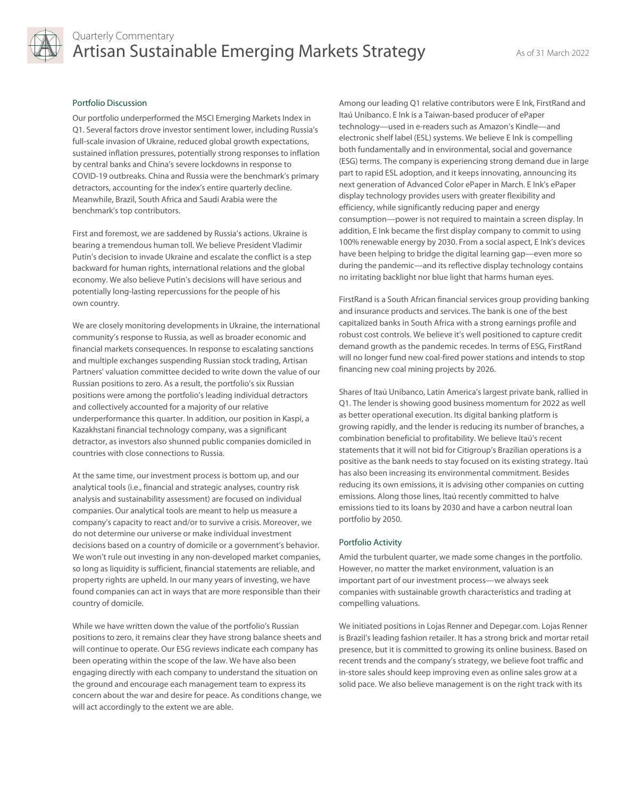

# Quarterly Commentary Artisan Sustainable Emerging Markets Strategy **As of 31 March 2022**

### Portfolio Discussion

Our portfolio underperformed the MSCI Emerging Markets Index in Q1. Several factors drove investor sentiment lower, including Russia's full-scale invasion of Ukraine, reduced global growth expectations, sustained inflation pressures, potentially strong responses to inflation by central banks and China's severe lockdowns in response to COVID-19 outbreaks. China and Russia were the benchmark's primary detractors, accounting for the index's entire quarterly decline. Meanwhile, Brazil, South Africa and Saudi Arabia were the benchmark's top contributors.

First and foremost, we are saddened by Russia's actions. Ukraine is bearing a tremendous human toll. We believe President Vladimir Putin's decision to invade Ukraine and escalate the conflict is a step backward for human rights, international relations and the global economy. We also believe Putin's decisions will have serious and potentially long-lasting repercussions for the people of his own country.

We are closely monitoring developments in Ukraine, the international community's response to Russia, as well as broader economic and financial markets consequences. In response to escalating sanctions and multiple exchanges suspending Russian stock trading, Artisan Partners' valuation committee decided to write down the value of our Russian positions to zero. As a result, the portfolio's six Russian positions were among the portfolio's leading individual detractors and collectively accounted for a majority of our relative underperformance this quarter. In addition, our position in Kaspi, a Kazakhstani financial technology company, was a significant detractor, as investors also shunned public companies domiciled in countries with close connections to Russia.

At the same time, our investment process is bottom up, and our analytical tools (i.e., financial and strategic analyses, country risk analysis and sustainability assessment) are focused on individual companies. Our analytical tools are meant to help us measure a company's capacity to react and/or to survive a crisis. Moreover, we do not determine our universe or make individual investment decisions based on a country of domicile or a government's behavior. We won't rule out investing in any non-developed market companies, so long as liquidity is sufficient, financial statements are reliable, and property rights are upheld. In our many years of investing, we have found companies can act in ways that are more responsible than their country of domicile.

While we have written down the value of the portfolio's Russian positions to zero, it remains clear they have strong balance sheets and will continue to operate. Our ESG reviews indicate each company has been operating within the scope of the law. We have also been engaging directly with each company to understand the situation on the ground and encourage each management team to express its concern about the war and desire for peace. As conditions change, we will act accordingly to the extent we are able.

Among our leading Q1 relative contributors were E Ink, FirstRand and Itaú Unibanco. E Ink is a Taiwan-based producer of ePaper technology—used in e-readers such as Amazon's Kindle—and electronic shelf label (ESL) systems. We believe E Ink is compelling both fundamentally and in environmental, social and governance (ESG) terms. The company is experiencing strong demand due in large part to rapid ESL adoption, and it keeps innovating, announcing its next generation of Advanced Color ePaper in March. E Ink's ePaper display technology provides users with greater flexibility and efficiency, while significantly reducing paper and energy consumption—power is not required to maintain a screen display. In addition, E Ink became the first display company to commit to using 100% renewable energy by 2030. From a social aspect, E Ink's devices have been helping to bridge the digital learning gap—even more so during the pandemic—and its reflective display technology contains no irritating backlight nor blue light that harms human eyes.

FirstRand is a South African financial services group providing banking and insurance products and services. The bank is one of the best capitalized banks in South Africa with a strong earnings profile and robust cost controls. We believe it's well positioned to capture credit demand growth as the pandemic recedes. In terms of ESG, FirstRand will no longer fund new coal-fired power stations and intends to stop financing new coal mining projects by 2026.

Shares of Itaú Unibanco, Latin America's largest private bank, rallied in Q1. The lender is showing good business momentum for 2022 as well as better operational execution. Its digital banking platform is growing rapidly, and the lender is reducing its number of branches, a combination beneficial to profitability. We believe Itaú's recent statements that it will not bid for Citigroup's Brazilian operations is a positive as the bank needs to stay focused on its existing strategy. Itaú has also been increasing its environmental commitment. Besides reducing its own emissions, it is advising other companies on cutting emissions. Along those lines, Itaú recently committed to halve emissions tied to its loans by 2030 and have a carbon neutral loan portfolio by 2050.

### Portfolio Activity

Amid the turbulent quarter, we made some changes in the portfolio. However, no matter the market environment, valuation is an important part of our investment process—we always seek companies with sustainable growth characteristics and trading at compelling valuations.

We initiated positions in Lojas Renner and Depegar.com. Lojas Renner is Brazil's leading fashion retailer. It has a strong brick and mortar retail presence, but it is committed to growing its online business. Based on recent trends and the company's strategy, we believe foot traffic and in-store sales should keep improving even as online sales grow at a solid pace. We also believe management is on the right track with its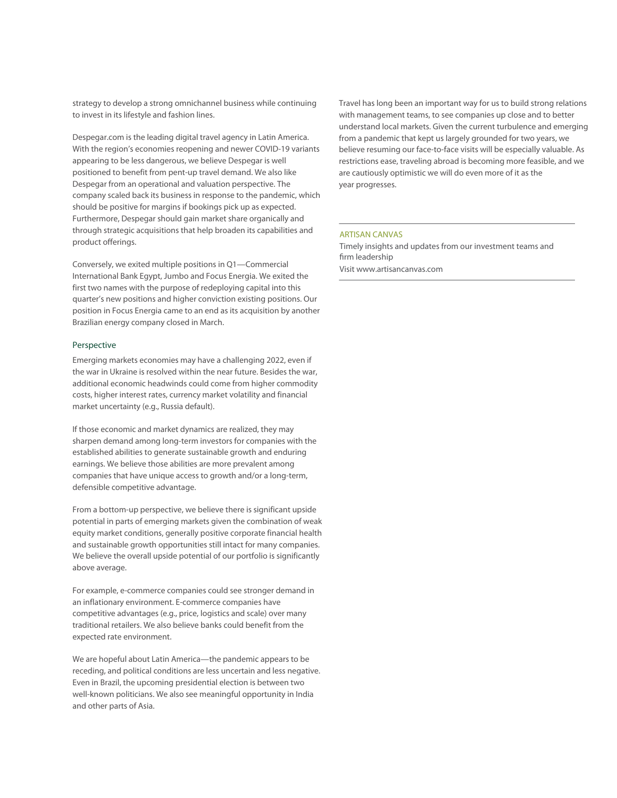strategy to develop a strong omnichannel business while continuing to invest in its lifestyle and fashion lines.

Despegar.com is the leading digital travel agency in Latin America. With the region's economies reopening and newer COVID-19 variants appearing to be less dangerous, we believe Despegar is well positioned to benefit from pent-up travel demand. We also like Despegar from an operational and valuation perspective. The company scaled back its business in response to the pandemic, which should be positive for margins if bookings pick up as expected. Furthermore, Despegar should gain market share organically and through strategic acquisitions that help broaden its capabilities and product offerings.

Conversely, we exited multiple positions in Q1—Commercial International Bank Egypt, Jumbo and Focus Energia. We exited the first two names with the purpose of redeploying capital into this quarter's new positions and higher conviction existing positions. Our position in Focus Energia came to an end as its acquisition by another Brazilian energy company closed in March.

### Perspective

Emerging markets economies may have a challenging 2022, even if the war in Ukraine is resolved within the near future. Besides the war, additional economic headwinds could come from higher commodity costs, higher interest rates, currency market volatility and financial market uncertainty (e.g., Russia default).

If those economic and market dynamics are realized, they may sharpen demand among long-term investors for companies with the established abilities to generate sustainable growth and enduring earnings. We believe those abilities are more prevalent among companies that have unique access to growth and/or a long-term, defensible competitive advantage.

From a bottom-up perspective, we believe there is significant upside potential in parts of emerging markets given the combination of weak equity market conditions, generally positive corporate financial health and sustainable growth opportunities still intact for many companies. We believe the overall upside potential of our portfolio is significantly above average.

For example, e-commerce companies could see stronger demand in an inflationary environment. E-commerce companies have competitive advantages (e.g., price, logistics and scale) over many traditional retailers. We also believe banks could benefit from the expected rate environment.

We are hopeful about Latin America—the pandemic appears to be receding, and political conditions are less uncertain and less negative. Even in Brazil, the upcoming presidential election is between two well-known politicians. We also see meaningful opportunity in India and other parts of Asia.

Travel has long been an important way for us to build strong relations with management teams, to see companies up close and to better understand local markets. Given the current turbulence and emerging from a pandemic that kept us largely grounded for two years, we believe resuming our face-to-face visits will be especially valuable. As restrictions ease, traveling abroad is becoming more feasible, and we are cautiously optimistic we will do even more of it as the year progresses.

# ARTISAN CANVAS

Timely insights and updates from our investment teams and firm leadership Visit www.artisancanvas.com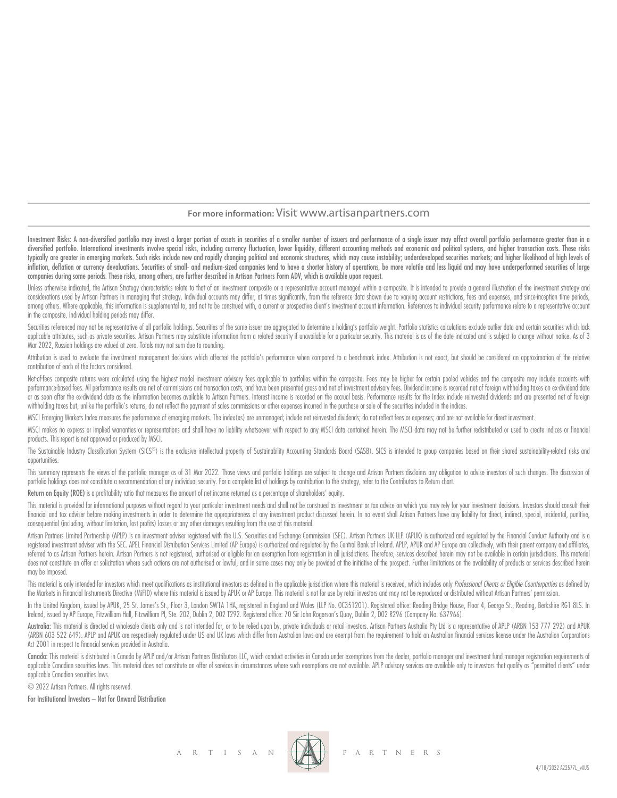### **For more information:** Visit www.artisanpartners.com

Investment Risks: A non-diversified portfolio may invest a larger portion of assets in securities of a smaller number of issuers and performance of a single issuer may affect overall portfolio performance greater than in a diversified portfolio. International investments involve special risks, including currency fluctuation, lower liquidity, different accounting methods and economic and political systems, and higher transaction costs. These typically are greater in emerging markets. Such risks include new and rapidly changing political and economic structures, which may cause instability; underdeveloped securities markets; and higher likelihood of high levels inflation, deflation or currency devaluations. Securities of small- and medium-sized companies tend to have a shorter history of operations, be more volatile and less liquid and may have underperformed securities of large companies during some periods. These risks, among others, are further described in Artisan Partners Form ADV, which is available upon request.

Unless otherwise indicated, the Artisan Strateay characteristics relate to that of an investment composite or a representative account managed within a composite. It is intended to provide a general illustration of the inv considerations used by Artisan Partners in managing that strategy. Individual accounts may differ, at times significantly, from the reference data shown due to varying account restrictions, fees and expenses, and since inc among others. Where applicable, this information is supplemental to, and not to be construed with, a current or prospective client's investment account information. References to individual security performance relate to a in the composite. Individual holding periods may differ.

Securities referenced may not be representative of all portfolio holdings. Securities of the same issuer are aggregated to determine a holding's portfolio weight. Portfolio statistics calculations exclude outlier data and applicable attributes, such as private securities. Artisan Partners may substitute information from a related security if unavailable for a particular security. This material is as of the date indicated and is subject to c Mar 2022, Russian holdings are valued at zero. Totals may not sum due to rounding.

Attribution is used to evaluate the investment management decisions which affected the portfolio's performance when compared to a benchmark index. Attribution is not exact, but should be considered an approximation of the contribution of each of the factors considered.

Net-of-fees composite returns were calculated using the highest model investment advisory fees applicable to portfolios within the composite. Fees may be higher for certain pooled vehicles and the composite may include acc performance based fees. All performance results are net of commissions and transaction costs, and have been presented gross and net of investment advisory fees. Dividend income is recorded net of foreign withholding taxes or as soon after the ex-dividend date as the information becomes available to Artisan Partners. Interest income is recorded on the accrual basis. Performance results for the Index include reinvested dividends and are prese withholding taxes but, unlike the portfolio's returns, do not reflect the payment of sales commissions or other expenses incurred in the purchase or sale of the securities included in the indices.

MSCI Emerging Markets Index measures the performance of emerging markets. The index(es) are unmanaged; include net reinvested dividends; do not reflect fees or expenses; and are not available for direct investment.

MSCI makes no express or implied warranties or representations and shall have no liability whatsoever with respect to any MSCI data contained herein. The MSCI data may not be further redistributed or used to create indices products. This report is not approved or produced by MSCI.

The Sustainable Industry Classification System (SICS®) is the exclusive intellectual property of Sustainability Accounting Standards Board (SASB). SICS is intended to group companies based on their shared sustainability-re opportunities.

This summary represents the views of the portfolio manager as of 31 Mar 2022. Those views and portfolio holdings are subject to change and Artisan Partners disclaims any obligation to advise investors of such changes. The portfolio holdings does not constitute a recommendation of any individual security. For a complete list of holdings by contribution to the strategy, refer to the Contributors to Return chart.

Return on Equity (ROE) is a profitability ratio that measures the amount of net income returned as a percentage of shareholders' equity.

This material is provided for informational purposes without regard to your particular investment needs and shall not be construed as investment or tax advice on which you may rely for your investment decisions. Investors financial and tax adviser before making investments in order to determine the appropriateness of any investment product discussed herein. In no event shall Artisan Partners have any liability for direct, indirect, special, consequential (including, without limitation, lost profits) losses or any other damages resulting from the use of this material.

Artisan Partners Limited Partnership (APLP) is an investment adviser registered with the U.S. Securities and Exchange Commission (SEC). Artisan Partners UK LLP (APUK) is authorized and regulated by the Financial Conduct Au registered investment adviser with the SEC. APEL Financial Distribution Services Limited (AP Europe) is authorized and regulated by the Central Bank of Ireland. APLP, APUK and AP Europe are collectively, with their parent referred to as Artisan Partners herein. Artisan Partners is not registered, authorised or eligible for an exemption from registration in all jurisdictions. Therefore, services described herein may not be available in certa does not constitute an offer or solicitation where such actions are not authorised or lawful, and in some cases may only be provided at the initiative of the prospect. Further limitations on the availability of products or may be imposed.

This material is only intended for investors which meet qualifications as institutional investors as defined in the applicable jurisdiction where this material is received, which includes only Professional Clients or Eligi the Markets in Financial Instruments Directive (MiFID) where this material is issued by APUK or AP Europe. This material is not for use by retail investors and may not be reproduced or distributed without Artisan Partners'

In the United Kingdom, issued by APUK, 25 St. James's St., Floor 3, London SW1A 1HA, registered in England and Wales (LLP No. OC351201). Registered office: Reading Bridge House, Floor 4, George St., Reading, Berkshire RG1 Ireland, issued by AP Europe, Fitzwilliam Hall, Fitzwilliam Pl, Ste. 202, Dublin 2, D02 T292. Registered office: 70 Sir John Rogerson's Quay, Dublin 2, D02 R296 (Company No. 637966).

Australia: This material is directed at wholesale clients only and is not intended for, or to be relied upon by, private individuals or retail investors. Artisan Partnes Australia Pty Ltd is a representative of APLP (ARBN (ARBN 603 522 649). APLP and APUK are respectively regulated under US and UK laws which differ from Australian laws and are exempt from the requirement to hold an Australian financial services license under the Australian Act 2001 in respect to financial services provided in Australia.

Canada: This material is distributed in Canada by APLP and/or Artisan Partners Distributors LLC, which conduct activities in Canada under exemptions from the dealer, portfolio manager and investment fund manager registrati applicable Canadian securities laws. This material does not constitute an offer of services in circumstances where such exemptions are not available. APLP advisory services are available only to investors that quality as " applicable Canadian securities laws.

© 2022 Artisan Partners. All rights reserved.

For Institutional Investors – Not for Onward Distribution